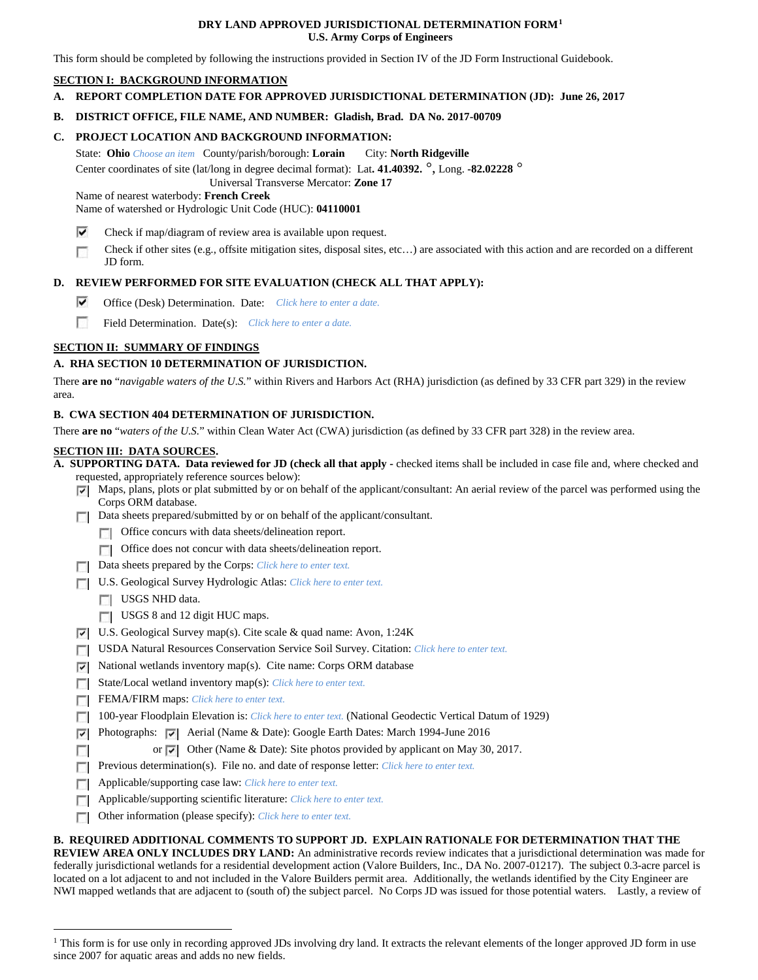## **DRY LAND APPROVED JURISDICTIONAL DETERMINATION FORM[1](#page-0-0) U.S. Army Corps of Engineers**

This form should be completed by following the instructions provided in Section IV of the JD Form Instructional Guidebook.

# **SECTION I: BACKGROUND INFORMATION**

**A. REPORT COMPLETION DATE FOR APPROVED JURISDICTIONAL DETERMINATION (JD): June 26, 2017**

# **B. DISTRICT OFFICE, FILE NAME, AND NUMBER: Gladish, Brad. DA No. 2017-00709**

## **C. PROJECT LOCATION AND BACKGROUND INFORMATION:**

State: **Ohio** *Choose an item* County/parish/borough: **Lorain** City: **North Ridgeville**

Center coordinates of site (lat/long in degree decimal format): Lat**. 41.40392.** °, Long. **-82.02228** ° Universal Transverse Mercator: **Zone 17**

Name of nearest waterbody: **French Creek**

Name of watershed or Hydrologic Unit Code (HUC): **04110001**

- ⊽ Check if map/diagram of review area is available upon request.
- г Check if other sites (e.g., offsite mitigation sites, disposal sites, etc…) are associated with this action and are recorded on a different JD form.

# **D. REVIEW PERFORMED FOR SITE EVALUATION (CHECK ALL THAT APPLY):**

- ⊽ Office (Desk) Determination. Date: *Click here to enter a date.*
- п Field Determination. Date(s): *Click here to enter a date.*

# **SECTION II: SUMMARY OF FINDINGS**

#### **A. RHA SECTION 10 DETERMINATION OF JURISDICTION.**

There **are no** "*navigable waters of the U.S.*" within Rivers and Harbors Act (RHA) jurisdiction (as defined by 33 CFR part 329) in the review area.

#### **B. CWA SECTION 404 DETERMINATION OF JURISDICTION.**

There **are no** "*waters of the U.S.*" within Clean Water Act (CWA) jurisdiction (as defined by 33 CFR part 328) in the review area.

# **SECTION III: DATA SOURCES.**

**A. SUPPORTING DATA. Data reviewed for JD (check all that apply -** checked items shall be included in case file and, where checked and requested, appropriately reference sources below):

- Maps, plans, plots or plat submitted by or on behalf of the applicant/consultant: An aerial review of the parcel was performed using the Corps ORM database.
- Data sheets prepared/submitted by or on behalf of the applicant/consultant.
	- **T** Office concurs with data sheets/delineation report.
	- Office does not concur with data sheets/delineation report.
- Data sheets prepared by the Corps: *Click here to enter text.*
- U.S. Geological Survey Hydrologic Atlas: *Click here to enter text.*
	- USGS NHD data.

 $\overline{a}$ 

- USGS 8 and 12 digit HUC maps.
- U.S. Geological Survey map(s). Cite scale & quad name: Avon, 1:24K
- USDA Natural Resources Conservation Service Soil Survey. Citation: *Click here to enter text.*
- ⊽ National wetlands inventory map(s). Cite name: Corps ORM database
- State/Local wetland inventory map(s): *Click here to enter text.*
- FEMA/FIRM maps: *Click here to enter text*.
- 100-year Floodplain Elevation is: *Click here to enter text.* (National Geodectic Vertical Datum of 1929)
- **Photographs:**  $\overline{V}$  Aerial (Name & Date): Google Earth Dates: March 1994-June 2016
	- or  $\triangledown$  Other (Name & Date): Site photos provided by applicant on May 30, 2017.
- **Previous determination(s). File no. and date of response letter:** *Click here to enter text.*
- Applicable/supporting case law: *Click here to enter text.*
- **Applicable/supporting scientific literature:** *Click here to enter text.*
- $\overline{a}$ Other information (please specify): *Click here to enter text.*

#### **B. REQUIRED ADDITIONAL COMMENTS TO SUPPORT JD. EXPLAIN RATIONALE FOR DETERMINATION THAT THE**

**REVIEW AREA ONLY INCLUDES DRY LAND:** An administrative records review indicates that a jurisdictional determination was made for federally jurisdictional wetlands for a residential development action (Valore Builders, Inc., DA No. 2007-01217). The subject 0.3-acre parcel is located on a lot adjacent to and not included in the Valore Builders permit area. Additionally, the wetlands identified by the City Engineer are NWI mapped wetlands that are adjacent to (south of) the subject parcel. No Corps JD was issued for those potential waters. Lastly, a review of

<span id="page-0-0"></span><sup>&</sup>lt;sup>1</sup> This form is for use only in recording approved JDs involving dry land. It extracts the relevant elements of the longer approved JD form in use since 2007 for aquatic areas and adds no new fields.